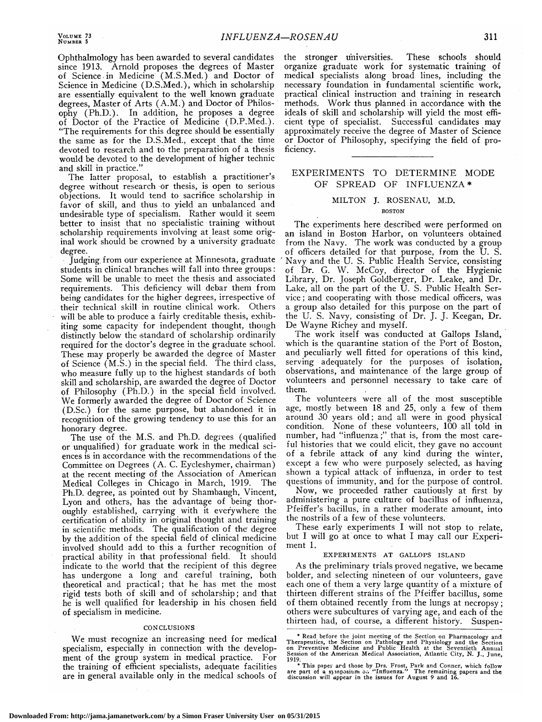Ophthalmology has been awarded to several candidates since 1913. Arnold proposes the degrees of Master of Science in Medicine (M.S.Med.) and Doctor of Science in Medicine (D.S.Med.), which in scholarship are essentially equivalent to the well known graduate degrees, Master of Arts (A.M.) and Doctor of Philosophy (Ph.D.). In addition, he proposes <sup>a</sup> degree of Doctor of the Practice of Medicine (D.P.Med.). "The requirements for this degree should be essentially the same as for the D.S.Med., except that the time devoted to research and to the preparation of <sup>a</sup> thesis would be devoted to the development of higher technic and skill in practice.'

The latter proposal, to establish <sup>a</sup> practitioner's degree without research or thesis, is open to serious objections. It would tend to sacrifice scholarship in favor of skill, and thus to yield an unbalanced and undesirable type of specialism. Rather would it seem better to insist that no specialistic training without scholarship requirements involving at least some original work should be crowned by <sup>a</sup> university graduate degree.

Judging from our experience at Minnesota, graduate students in clinical branches will fall into three groups : Some will be unable to meet the thesis and associated requirements. This deficiency will debar them from being candidates for the higher degrees, irrespective of their technical skill in routine clinical work. Others will be able to produce a fairly creditable thesis, exhibiting some capacity for independent thought, though distinctly below the standard of scholarship ordinarily required for the doctor's degree in the graduate school. These may properly be awarded the degree of Master of Science (M.S.) in the special field. The third class, who measure fully up to the highest standards of both skill and scholarship, are awarded the degree of Doctor of Philosophy (Ph.D.) in the special field involved. We formerly awarded the degree of Doctor of Science (D.Sc.) for the same purpose, but abandoned it in recognition of the growing tendency to use this for an honorary degree.

The use of the M.S. and Ph.D. degrees (qualified or unqualified) for graduate work in the medical sciences is in accordance with the recommendations of the Committee on Degrees (A. C. Eycleshymer, chairman) at the recent meeting of the Association of American Medical Colleges in Chicago in March, 1919. The Ph.D. degree, as pointed out by Shambaugh, Vincent, Lyon and others, has the advantage of being thoroughly established, carrying with it everywhere the certification of ability in original thought and training in scientific methods. The qualification of the degree by the addition of the special field of clinical medicine involved should add to this <sup>a</sup> further recognition of practical ability in that professional field. indicate to the world that the recipient of this degree has undergone <sup>a</sup> long and careful training, both theoretical and practical ; that he has met the most rigid tests both of skill and of scholarship; and that he is well qualified for leadership in his chosen field of specialism in medicine.

#### CONCLUSIONS

We must recognize an increasing need for medical specialism, especially in connection with the development of the group system in medical practice. For the training of efficient specialists, adequate facilities are in general available only in the medical schools of

the stronger universities. These schools should organize graduate work for systematic training of medical specialists along broad lines, including the necessary foundation in fundamental scientific work, practical clinical instruction and training in research methods. Work thus planned in accordance with the ideals of skill and scholarship will yield the most efficient type of specialist. Successful candidates may approximately receive the degree of Master of Science or Doctor of Philosophy, specifying the field of proficiency.

## EXPERIMENTS TO DETERMINE MODE OF SPREAD OF INFLUENZA

# MILTON J. ROSENAU, M.D.

BOSTON

The experiments here described were performed on an island in Boston Harbor, on volunteers obtained from the Navy. The work was conducted by <sup>a</sup> group of officers detailed for that purpose, from the U. S. Navy and the U. S. Public Health Service, consisting of Dr. G. W. McCoy, director of the Hygienic Library, Dr. Joseph Goldberger, Dr. Leake, and Dr. Lake, all on the part of the U. S. Public Health Service; and cooperating with those medical officers, was <sup>a</sup> group also detailed for this purpose on the part of the U. S. Navy, consisting of Dr. J. J. Keegan, Dr. De Wayne Richey and myself.

The work itself was conducted at Gallops Island, which is the quarantine station of the Port of Boston, and peculiarly well fitted for operations of this kind, serving adequately for the purposes of isolation, observations, and maintenance of the large group of volunteers and personnel necessary to take care of them.

The volunteers were all of the most susceptible age, mostly between <sup>18</sup> and 25, only <sup>a</sup> few of them around <sup>30</sup> years old ; and all were in good physical condition. None of these volunteers, 100 all told in number, had "influenza;" that is, from the most careful histories that we could elicit, they gave no account of <sup>a</sup> febrile attack of any kind during the winter, except <sup>a</sup> few who were purposely selected, as having shown a typical attack of influenza, in order to test questions of immunity, and for the purpose of control.

Now, we proceeded rather cautiously at first by administering <sup>a</sup> pure culture of bacillus of influenza, Pfeiffer's bacillus, in <sup>a</sup> rather moderate amount, into the nostrils of <sup>a</sup> few of these volunteers.

These early experiments I will not stop to relate, but I will go at once to what I may call our Experiment 1.

EXPERIMENTS AT GALLOPS ISLAND

As the preliminary trials proved negative, we became bolder, and selecting nineteen of our volunteers, gave each one of them <sup>a</sup> very large quantity of <sup>a</sup> mixture of thirteen different strains of the Pfeiffer bacillus, some of them obtained recently from the lungs at necropsy; others were subcultures of varying age, and each of the thirteen had, of course, a different history. Suspenthirteen had, of course, a different history.

Read before the joint meeting of the Section on Pharmacology and Therapeutics, the Section on Pathology and Physiology and the Section on Preventive Medicine and Public Health at the Seventieth Annual Session of the American Medical Association, Atlantic City, N. J., June, 1919.

<sup>\*</sup> This paper ard those by Drs. Frost, Park and Conner, which follow<br>are part of a symposium on "Influenza." The remaining papers and the<br>discussion will appear in the issues for August 9 and 16.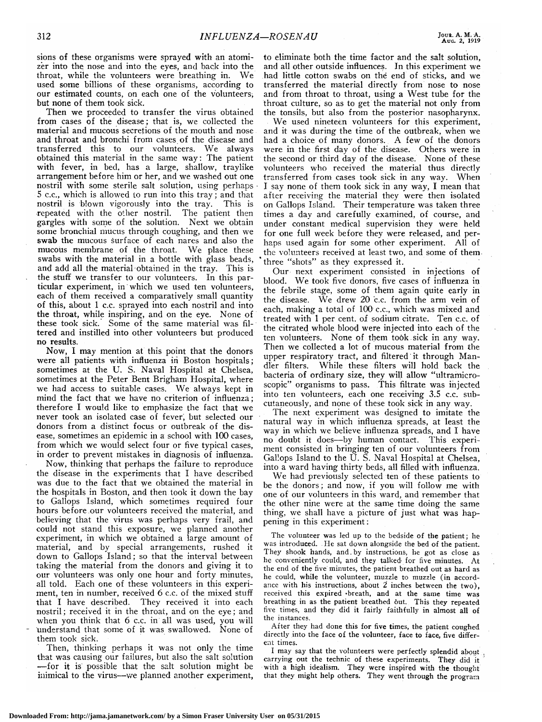sions of these organisms were sprayed with an atomizer into the nose and into the eyes, and back into the throat, while the volunteers were breathing in. We used some billions of these organisms, according to our estimated counts, on each one of the volunteers, but none of them took sick.

Then we proceeded to transfer the virus obtained from cases of the disease ; that is, we collected the material and mucous secretions of the mouth and nose and throat and bronchi from cases of the disease and transferred this to our volunteers. We always obtained this material in the same way: The patient with fever, in bed, has <sup>a</sup> large, shallow, traylike arrangement before him or her, and we washed out one nostril with some sterile salt solution, using perhaps 5 c.c., which is allowed to run into this tray; and that nostril is blown vigorously into the tray. This is nostril is blown vigorously into the tray. repeated with the other nostril. The patient then gargles with some of the solution. Next we obtain some bronchial mucus through coughing, and then we swab the mucous surface of each nares and also the mucous membrane of the throat. We place these swabs with the material in <sup>a</sup> bottle with glass beads, and add all the material obtained in the tray. This is the stuff we transfer to our volunteers. In this particular experiment, in which we used ten volunteers, each of them received <sup>a</sup> comparatively small quantity of this, about <sup>1</sup> c.c. sprayed into each nostril and into the throat, while inspiring, and on the eye. None of these took sick. Some of the same material was filtered and instilled into other volunteers but produced no results.

Now, I may mention at this point that the donors were all patients with influenza in Boston hospitals; sometimes at the U. S. Naval Hospital at Chelsea, sometimes at the Peter Bent Brigham Hospital, where we had access to suitable cases. We always kept in mind the fact that we have no criterion of influenza ; therefore I would like to emphasize the fact that we never took an isolated case of fever, but selected our donors from a distinct focus or outbreak of the disease, sometimes an epidemic in <sup>a</sup> school with 100 cases, from which we would select four or five typical cases, in order to prevent mistakes in diagnosis of influenza.

Now, thinking that perhaps the failure to reproduce the disease in the experiments that I have described was due to the fact that we obtained the material in the hospitals in Boston, and then took it down the bay to Gallops Island, which sometimes required four hours before our volunteers received the material, and believing that the virus was perhaps very frail, and could not stand this exposure, we planned another experiment, in which we obtained <sup>a</sup> large amount of material, and by special arrangements, rushed it down to Gallops Island ; so that the interval between taking the material from the donors and giving it to our volunteers was only one hour and forty minutes, all told. Each one of these volunteers in this experiment, ten in number, received 6 c.c. of the mixed stuff that I have described. They received it into each nostril ; received it in the throat, and on the eye ; and when you think that <sup>6</sup> c.c. in all was used, you will understand that some of it was swallowed. None of them took sick.

Then, thinking perhaps it was not only the time that was causing our failures, but also the salt solution •—for it is possible that the salt solution might be inimical to the virus—-we planned another experiment,

to eliminate both the time factor and the salt solution, and all other outside influences. In this experiment we had little cotton swabs on the end of sticks, and we transferred the material directly from nose to nose and from throat to throat, using <sup>a</sup> West tube for the throat culture, so as to get the material not only from the tonsils, but also from the posterior nasopharynx.

We used nineteen volunteers for this experiment, and it was during the time of the outbreak, when we had <sup>a</sup> choice of many donors. A few of the donors were in the first day of the disease. Others were in the second or third day of the disease. None of these volunteers who received the material thus directly transferred from cases took sick in any way. When I say none of them took sick in any way, I mean that after receiving the material they were then isolated on Gallops Island. Their temperature was taken three times <sup>a</sup> day and carefully examined, of course, and under constant medical supervision they were held for one full week before they were released, and perhaps used again for some other experiment. All of the volunteers received at least two, and some of them three "shots" as they expressed it.

Our next experiment consisted in injections of blood. We took five donors, five cases of influenza in the febrile stage, some of them again quite early in the disease. We drew 20 c.c. from the arm vein of each, making <sup>a</sup> total of <sup>100</sup> c.c, which was mixed and treated with <sup>1</sup> per cent, of sodium citrate. Ten c.c. of the citrated whole blood were injected into each of the ten volunteers. None of them took sick in any way. Then we collected <sup>a</sup> lot of mucous material from the upper respiratory tract, and filtered ' it through Mandler filters. While these filters will hold back the bacteria of ordinary size, they will allow "ultramicroscopic" organisms to pass. This filtrate was injected into ten volunteers, each one receiving 3.5 c.c. subcutaneously, and none of these took sick in any way.

The next experiment was designed to imitate the natural way in which influenza spreads, at least the way in which we believe influenza spreads, and I have no doubt it does—by human contact. This experiment consisted in bringing ten of our volunteers from Gallops Island to the U. S. Naval Hospital at Chelsea, into <sup>a</sup> ward having thirty beds, all filled with influenza.

We had previously selected ten of these patients to be the donors ; and now, if you will follow me with one of our volunteers in this ward, and remember that the other nine were at the same time doing the same thing, we shall have a picture of just what was happening in this experiment :

The volunteer was led up to the bedside of the patient; he was introduced. He sat down alongside the bed of the patient. They shook hands, and. by instructions, he got as close as he conveniently could, and they talked for five minutes. At the end of the five minutes, the patient breathed out as hard as he could, while the volunteer, muzzle to muzzle (in accordance with his instructions, about <sup>2</sup> inches between the two), received this expired -breath, and at the same time was breathing in as the patient breathed out. This they repeated five times, and they did it fairly faithfully in almost all of the instances.

After they had done this for five times, the patient coughed directly into the face of the volunteer, face to face, five different times.

I may say that the volunteers were perfectly splendid about carrying out the technic of these experiments. They did it with <sup>a</sup> high idealism. They were inspired with the thought that they might help others. They went through the program